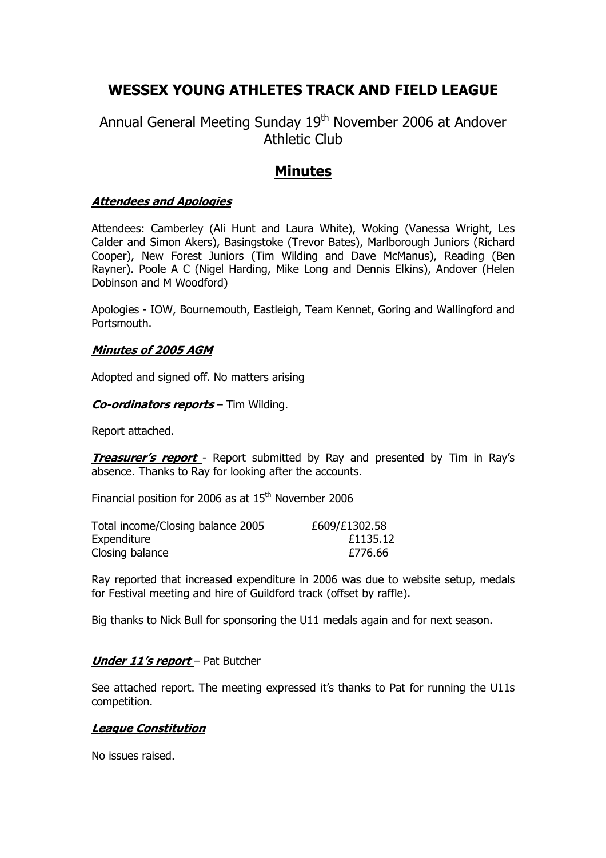# **WESSEX YOUNG ATHLETES TRACK AND FIELD LEAGUE**

# Annual General Meeting Sunday 19<sup>th</sup> November 2006 at Andover Athletic Club

# **Minutes**

### **Attendees and Apologies**

Attendees: Camberley (Ali Hunt and Laura White), Woking (Vanessa Wright, Les Calder and Simon Akers), Basingstoke (Trevor Bates), Marlborough Juniors (Richard Cooper), New Forest Juniors (Tim Wilding and Dave McManus), Reading (Ben Rayner). Poole A C (Nigel Harding, Mike Long and Dennis Elkins), Andover (Helen Dobinson and M Woodford)

Apologies - IOW, Bournemouth, Eastleigh, Team Kennet, Goring and Wallingford and Portsmouth.

### **Minutes of 2005 AGM**

Adopted and signed off. No matters arising

### **Co-ordinators reports** – Tim Wilding.

Report attached.

**Treasurer's report** - Report submitted by Ray and presented by Tim in Ray's absence. Thanks to Ray for looking after the accounts.

Financial position for 2006 as at  $15<sup>th</sup>$  November 2006

| Total income/Closing balance 2005 | £609/£1302.58 |
|-----------------------------------|---------------|
| Expenditure                       | £1135.12      |
| Closing balance                   | £776.66       |

Ray reported that increased expenditure in 2006 was due to website setup, medals for Festival meeting and hire of Guildford track (offset by raffle).

Big thanks to Nick Bull for sponsoring the U11 medals again and for next season.

### **Under 11's report** – Pat Butcher

See attached report. The meeting expressed it's thanks to Pat for running the U11s competition.

### **League Constitution**

No issues raised.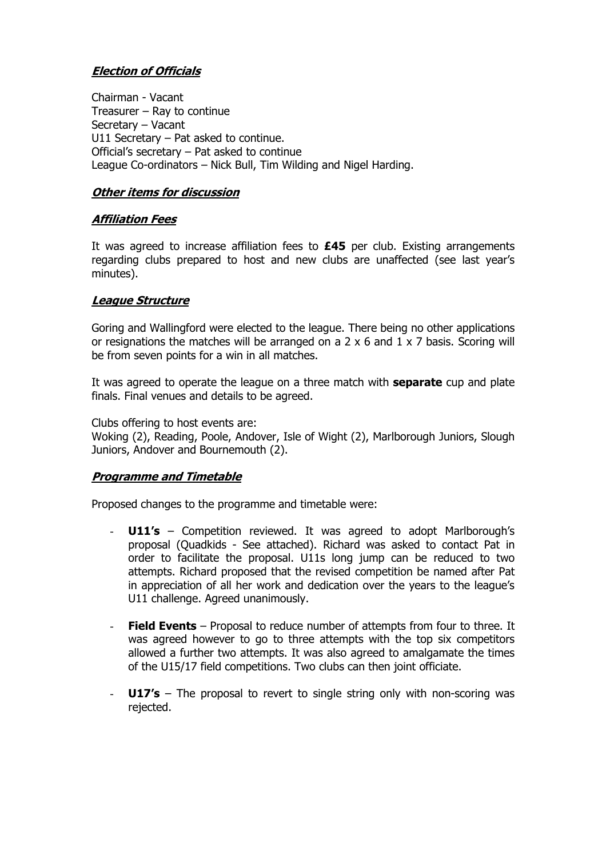# **Election of Officials**

Chairman - Vacant Treasurer – Ray to continue Secretary – Vacant U11 Secretary – Pat asked to continue. Official's secretary – Pat asked to continue League Co-ordinators – Nick Bull, Tim Wilding and Nigel Harding.

## **Other items for discussion**

## **Affiliation Fees**

It was agreed to increase affiliation fees to **£45** per club. Existing arrangements regarding clubs prepared to host and new clubs are unaffected (see last year's minutes).

## **League Structure**

Goring and Wallingford were elected to the league. There being no other applications or resignations the matches will be arranged on a  $2 \times 6$  and  $1 \times 7$  basis. Scoring will be from seven points for a win in all matches.

It was agreed to operate the league on a three match with **separate** cup and plate finals. Final venues and details to be agreed.

Clubs offering to host events are:

Woking (2), Reading, Poole, Andover, Isle of Wight (2), Marlborough Juniors, Slough Juniors, Andover and Bournemouth (2).

### **Programme and Timetable**

Proposed changes to the programme and timetable were:

- **U11's** Competition reviewed. It was agreed to adopt Marlborough's proposal (Quadkids - See attached). Richard was asked to contact Pat in order to facilitate the proposal. U11s long jump can be reduced to two attempts. Richard proposed that the revised competition be named after Pat in appreciation of all her work and dedication over the years to the league's U11 challenge. Agreed unanimously.
- **Field Events** Proposal to reduce number of attempts from four to three. It was agreed however to go to three attempts with the top six competitors allowed a further two attempts. It was also agreed to amalgamate the times of the U15/17 field competitions. Two clubs can then joint officiate.
- **U17's** The proposal to revert to single string only with non-scoring was rejected.